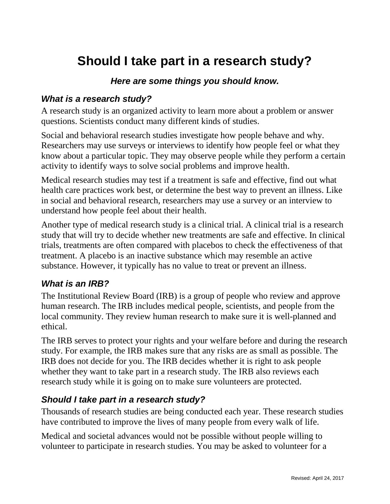# **Should I take part in a research study?**

## *Here are some things you should know.*

#### *What is a research study?*

A research study is an organized activity to learn more about a problem or answer questions. Scientists conduct many different kinds of studies.

Social and behavioral research studies investigate how people behave and why. Researchers may use surveys or interviews to identify how people feel or what they know about a particular topic. They may observe people while they perform a certain activity to identify ways to solve social problems and improve health.

Medical research studies may test if a treatment is safe and effective, find out what health care practices work best, or determine the best way to prevent an illness. Like in social and behavioral research, researchers may use a survey or an interview to understand how people feel about their health.

Another type of medical research study is a clinical trial. A clinical trial is a research study that will try to decide whether new treatments are safe and effective. In clinical trials, treatments are often compared with placebos to check the effectiveness of that treatment. A placebo is an inactive substance which may resemble an active substance. However, it typically has no value to treat or prevent an illness.

#### *What is an IRB?*

The Institutional Review Board (IRB) is a group of people who review and approve human research. The IRB includes medical people, scientists, and people from the local community. They review human research to make sure it is well-planned and ethical.

The IRB serves to protect your rights and your welfare before and during the research study. For example, the IRB makes sure that any risks are as small as possible. The IRB does not decide for you. The IRB decides whether it is right to ask people whether they want to take part in a research study. The IRB also reviews each research study while it is going on to make sure volunteers are protected.

#### *Should I take part in a research study?*

Thousands of research studies are being conducted each year. These research studies have contributed to improve the lives of many people from every walk of life.

Medical and societal advances would not be possible without people willing to volunteer to participate in research studies. You may be asked to volunteer for a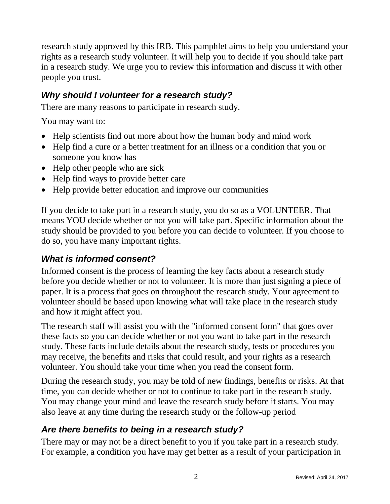research study approved by this IRB. This pamphlet aims to help you understand your rights as a research study volunteer. It will help you to decide if you should take part in a research study. We urge you to review this information and discuss it with other people you trust.

## *Why should I volunteer for a research study?*

There are many reasons to participate in research study.

You may want to:

- Help scientists find out more about how the human body and mind work
- Help find a cure or a better treatment for an illness or a condition that you or someone you know has
- Help other people who are sick
- Help find ways to provide better care
- Help provide better education and improve our communities

If you decide to take part in a research study, you do so as a VOLUNTEER. That means YOU decide whether or not you will take part. Specific information about the study should be provided to you before you can decide to volunteer. If you choose to do so, you have many important rights.

## *What is informed consent?*

Informed consent is the process of learning the key facts about a research study before you decide whether or not to volunteer. It is more than just signing a piece of paper. It is a process that goes on throughout the research study. Your agreement to volunteer should be based upon knowing what will take place in the research study and how it might affect you.

The research staff will assist you with the "informed consent form" that goes over these facts so you can decide whether or not you want to take part in the research study. These facts include details about the research study, tests or procedures you may receive, the benefits and risks that could result, and your rights as a research volunteer. You should take your time when you read the consent form.

During the research study, you may be told of new findings, benefits or risks. At that time, you can decide whether or not to continue to take part in the research study. You may change your mind and leave the research study before it starts. You may also leave at any time during the research study or the follow-up period

# *Are there benefits to being in a research study?*

There may or may not be a direct benefit to you if you take part in a research study. For example, a condition you have may get better as a result of your participation in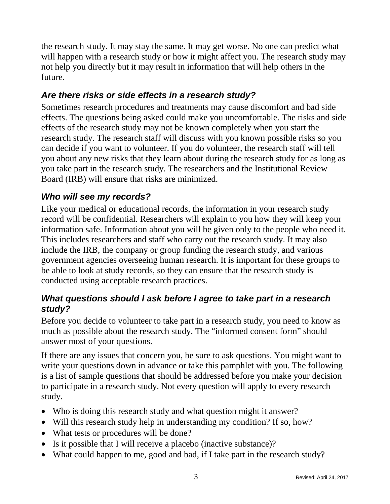the research study. It may stay the same. It may get worse. No one can predict what will happen with a research study or how it might affect you. The research study may not help you directly but it may result in information that will help others in the future.

# *Are there risks or side effects in a research study?*

Sometimes research procedures and treatments may cause discomfort and bad side effects. The questions being asked could make you uncomfortable. The risks and side effects of the research study may not be known completely when you start the research study. The research staff will discuss with you known possible risks so you can decide if you want to volunteer. If you do volunteer, the research staff will tell you about any new risks that they learn about during the research study for as long as you take part in the research study. The researchers and the Institutional Review Board (IRB) will ensure that risks are minimized.

# *Who will see my records?*

Like your medical or educational records, the information in your research study record will be confidential. Researchers will explain to you how they will keep your information safe. Information about you will be given only to the people who need it. This includes researchers and staff who carry out the research study. It may also include the IRB, the company or group funding the research study, and various government agencies overseeing human research. It is important for these groups to be able to look at study records, so they can ensure that the research study is conducted using acceptable research practices.

## *What questions should I ask before I agree to take part in a research study?*

Before you decide to volunteer to take part in a research study, you need to know as much as possible about the research study. The "informed consent form" should answer most of your questions.

If there are any issues that concern you, be sure to ask questions. You might want to write your questions down in advance or take this pamphlet with you. The following is a list of sample questions that should be addressed before you make your decision to participate in a research study. Not every question will apply to every research study.

- Who is doing this research study and what question might it answer?
- Will this research study help in understanding my condition? If so, how?
- What tests or procedures will be done?
- Is it possible that I will receive a placebo (inactive substance)?
- What could happen to me, good and bad, if I take part in the research study?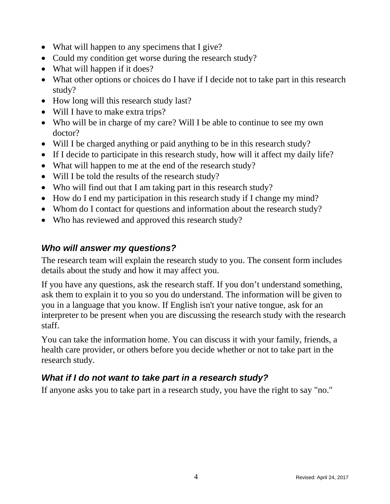- What will happen to any specimens that I give?
- Could my condition get worse during the research study?
- What will happen if it does?
- What other options or choices do I have if I decide not to take part in this research study?
- How long will this research study last?
- Will I have to make extra trips?
- Who will be in charge of my care? Will I be able to continue to see my own doctor?
- Will I be charged anything or paid anything to be in this research study?
- If I decide to participate in this research study, how will it affect my daily life?
- What will happen to me at the end of the research study?
- Will I be told the results of the research study?
- Who will find out that I am taking part in this research study?
- How do I end my participation in this research study if I change my mind?
- Whom do I contact for questions and information about the research study?
- Who has reviewed and approved this research study?

## *Who will answer my questions?*

The research team will explain the research study to you. The consent form includes details about the study and how it may affect you.

If you have any questions, ask the research staff. If you don't understand something, ask them to explain it to you so you do understand. The information will be given to you in a language that you know. If English isn't your native tongue, ask for an interpreter to be present when you are discussing the research study with the research staff.

You can take the information home. You can discuss it with your family, friends, a health care provider, or others before you decide whether or not to take part in the research study.

# *What if I do not want to take part in a research study?*

If anyone asks you to take part in a research study, you have the right to say "no."